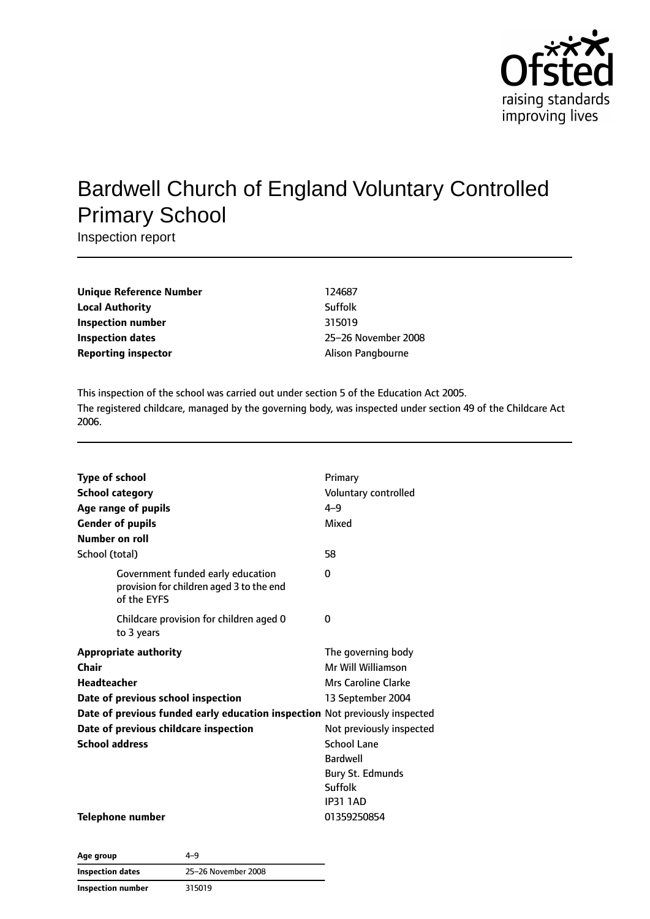

# Bardwell Church of England Voluntary Controlled Primary School

Inspection report

| Unique Reference Number    | 124687              |
|----------------------------|---------------------|
| Local Authority            | Suffolk             |
| Inspection number          | 315019              |
| <b>Inspection dates</b>    | 25-26 November 2008 |
| <b>Reporting inspector</b> | Alison Pangbourne   |

This inspection of the school was carried out under section 5 of the Education Act 2005. The registered childcare, managed by the governing body, was inspected under section 49 of the Childcare Act 2006.

| <b>Type of school</b><br><b>School category</b><br>Age range of pupils<br><b>Gender of pupils</b><br>Number on roll | Primary<br>Voluntary controlled<br>$4 - 9$<br>Mixed                                     |
|---------------------------------------------------------------------------------------------------------------------|-----------------------------------------------------------------------------------------|
| School (total)                                                                                                      | 58                                                                                      |
| Government funded early education<br>provision for children aged 3 to the end<br>of the EYFS                        | 0                                                                                       |
| Childcare provision for children aged 0<br>to 3 years                                                               | 0                                                                                       |
| <b>Appropriate authority</b><br>Chair<br>Headteacher<br>Date of previous school inspection                          | The governing body<br>Mr Will Williamson<br>Mrs Caroline Clarke<br>13 September 2004    |
| Date of previous funded early education inspection Not previously inspected                                         |                                                                                         |
| Date of previous childcare inspection                                                                               | Not previously inspected                                                                |
| <b>School address</b>                                                                                               | <b>School Lane</b><br><b>Bardwell</b><br>Bury St. Edmunds<br>Suffolk<br><b>IP31 1AD</b> |
| Telephone number                                                                                                    | 01359250854                                                                             |

| Age group         | 4–9                 |
|-------------------|---------------------|
| Inspection dates  | 25-26 November 2008 |
| Inspection number | 315019              |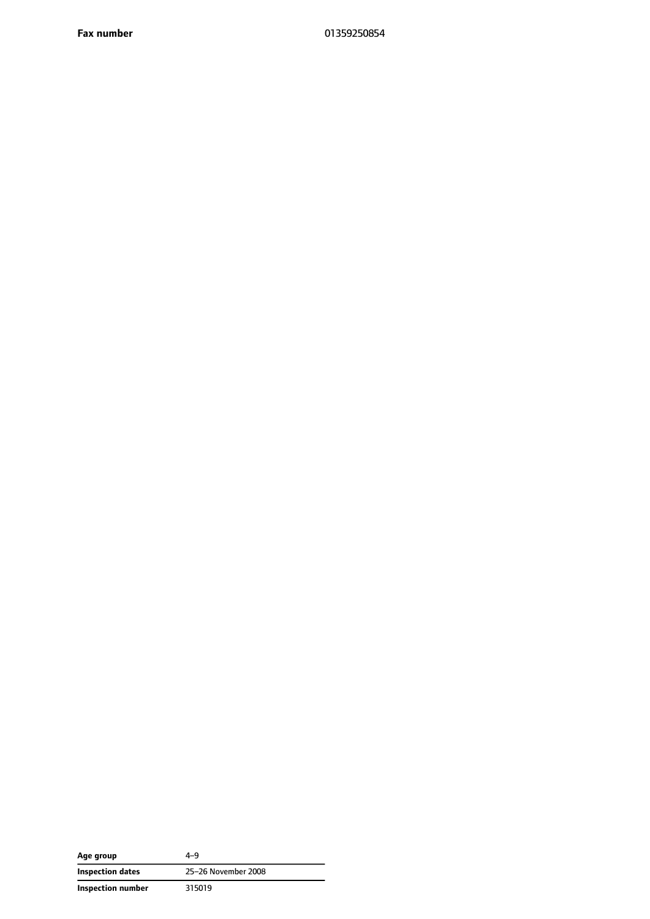**Fax number** 01359250854

| Age group         | 4–9                 |
|-------------------|---------------------|
| Inspection dates  | 25-26 November 2008 |
| Inspection number | 315019              |

 $\overline{\phantom{a}}$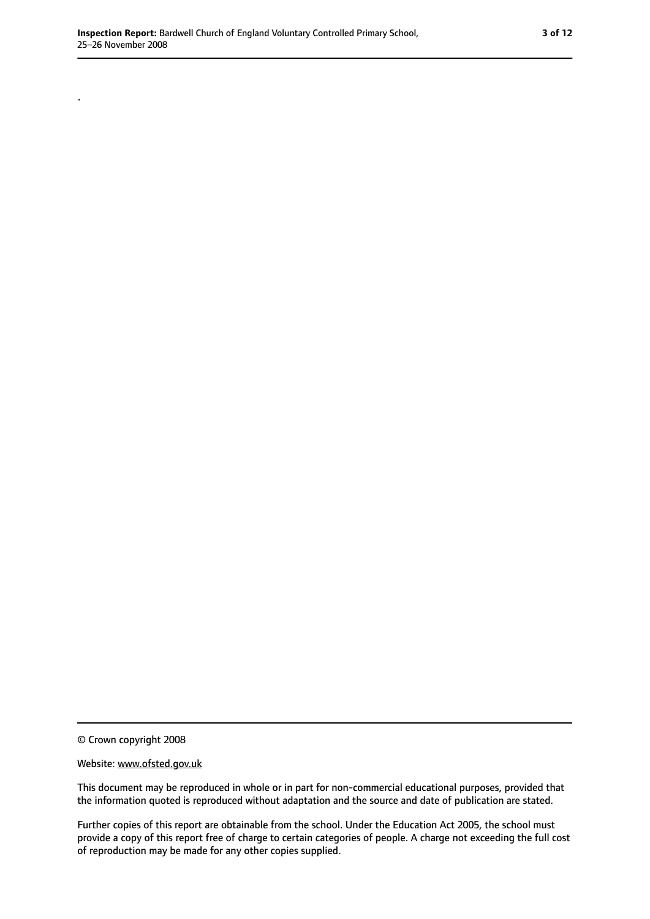.

© Crown copyright 2008

#### Website: www.ofsted.gov.uk

This document may be reproduced in whole or in part for non-commercial educational purposes, provided that the information quoted is reproduced without adaptation and the source and date of publication are stated.

Further copies of this report are obtainable from the school. Under the Education Act 2005, the school must provide a copy of this report free of charge to certain categories of people. A charge not exceeding the full cost of reproduction may be made for any other copies supplied.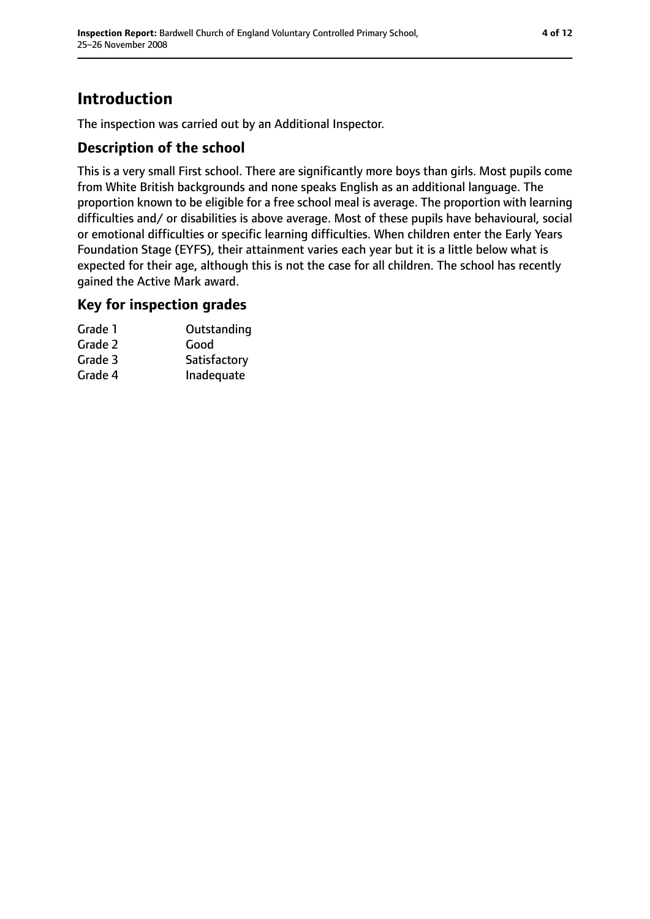## **Introduction**

The inspection was carried out by an Additional Inspector.

## **Description of the school**

This is a very small First school. There are significantly more boys than girls. Most pupils come from White British backgrounds and none speaks English as an additional language. The proportion known to be eligible for a free school meal is average. The proportion with learning difficulties and/ or disabilities is above average. Most of these pupils have behavioural, social or emotional difficulties or specific learning difficulties. When children enter the Early Years Foundation Stage (EYFS), their attainment varies each year but it is a little below what is expected for their age, although this is not the case for all children. The school has recently gained the Active Mark award.

### **Key for inspection grades**

| Grade 1 | Outstanding  |
|---------|--------------|
| Grade 2 | Good         |
| Grade 3 | Satisfactory |
| Grade 4 | Inadequate   |
|         |              |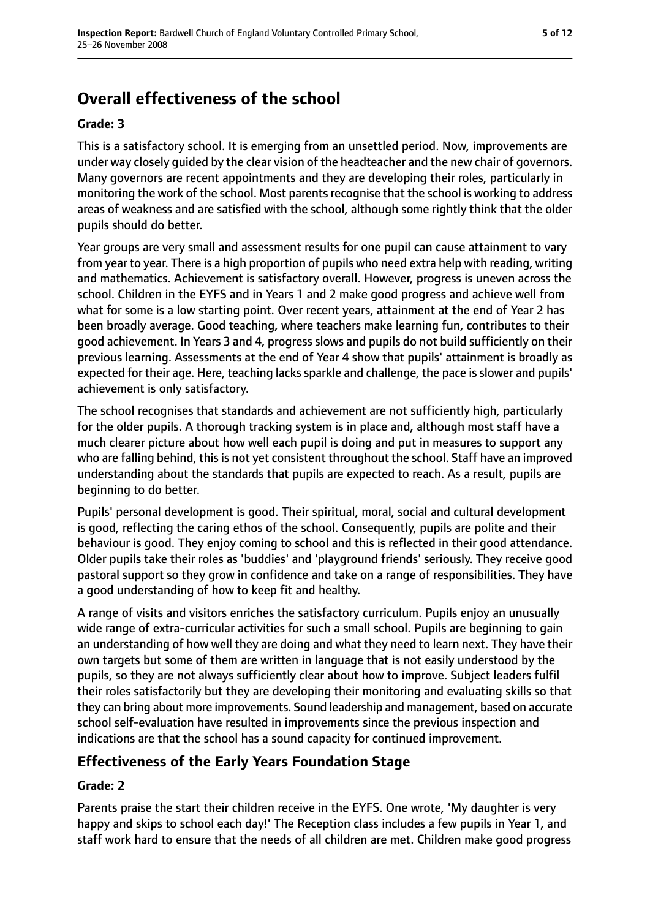## **Overall effectiveness of the school**

### **Grade: 3**

This is a satisfactory school. It is emerging from an unsettled period. Now, improvements are under way closely guided by the clear vision of the headteacher and the new chair of governors. Many governors are recent appointments and they are developing their roles, particularly in monitoring the work of the school. Most parents recognise that the school is working to address areas of weakness and are satisfied with the school, although some rightly think that the older pupils should do better.

Year groups are very small and assessment results for one pupil can cause attainment to vary from year to year. There is a high proportion of pupils who need extra help with reading, writing and mathematics. Achievement is satisfactory overall. However, progress is uneven across the school. Children in the EYFS and in Years 1 and 2 make good progress and achieve well from what for some is a low starting point. Over recent years, attainment at the end of Year 2 has been broadly average. Good teaching, where teachers make learning fun, contributes to their good achievement. In Years 3 and 4, progress slows and pupils do not build sufficiently on their previous learning. Assessments at the end of Year 4 show that pupils' attainment is broadly as expected for their age. Here, teaching lacks sparkle and challenge, the pace is slower and pupils' achievement is only satisfactory.

The school recognises that standards and achievement are not sufficiently high, particularly for the older pupils. A thorough tracking system is in place and, although most staff have a much clearer picture about how well each pupil is doing and put in measures to support any who are falling behind, this is not yet consistent throughout the school. Staff have an improved understanding about the standards that pupils are expected to reach. As a result, pupils are beginning to do better.

Pupils' personal development is good. Their spiritual, moral, social and cultural development is good, reflecting the caring ethos of the school. Consequently, pupils are polite and their behaviour is good. They enjoy coming to school and this is reflected in their good attendance. Older pupils take their roles as 'buddies' and 'playground friends' seriously. They receive good pastoral support so they grow in confidence and take on a range of responsibilities. They have a good understanding of how to keep fit and healthy.

A range of visits and visitors enriches the satisfactory curriculum. Pupils enjoy an unusually wide range of extra-curricular activities for such a small school. Pupils are beginning to gain an understanding of how well they are doing and what they need to learn next. They have their own targets but some of them are written in language that is not easily understood by the pupils, so they are not always sufficiently clear about how to improve. Subject leaders fulfil their roles satisfactorily but they are developing their monitoring and evaluating skills so that they can bring about more improvements. Sound leadership and management, based on accurate school self-evaluation have resulted in improvements since the previous inspection and indications are that the school has a sound capacity for continued improvement.

## **Effectiveness of the Early Years Foundation Stage**

### **Grade: 2**

Parents praise the start their children receive in the EYFS. One wrote, 'My daughter is very happy and skips to school each day!' The Reception class includes a few pupils in Year 1, and staff work hard to ensure that the needs of all children are met. Children make good progress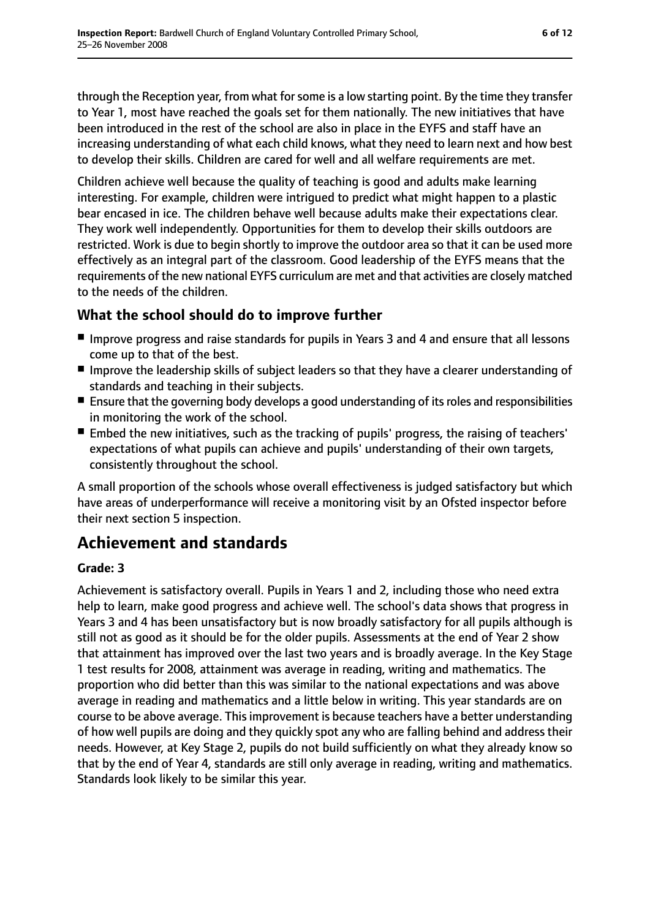through the Reception year, from what for some is a low starting point. By the time they transfer to Year 1, most have reached the goals set for them nationally. The new initiatives that have been introduced in the rest of the school are also in place in the EYFS and staff have an increasing understanding of what each child knows, what they need to learn next and how best to develop their skills. Children are cared for well and all welfare requirements are met.

Children achieve well because the quality of teaching is good and adults make learning interesting. For example, children were intrigued to predict what might happen to a plastic bear encased in ice. The children behave well because adults make their expectations clear. They work well independently. Opportunities for them to develop their skills outdoors are restricted. Work is due to begin shortly to improve the outdoor area so that it can be used more effectively as an integral part of the classroom. Good leadership of the EYFS means that the requirements of the new national EYFS curriculum are met and that activities are closely matched to the needs of the children.

## **What the school should do to improve further**

- Improve progress and raise standards for pupils in Years 3 and 4 and ensure that all lessons come up to that of the best.
- Improve the leadership skills of subject leaders so that they have a clearer understanding of standards and teaching in their subjects.
- Ensure that the governing body develops a good understanding of its roles and responsibilities in monitoring the work of the school.
- Embed the new initiatives, such as the tracking of pupils' progress, the raising of teachers' expectations of what pupils can achieve and pupils' understanding of their own targets, consistently throughout the school.

A small proportion of the schools whose overall effectiveness is judged satisfactory but which have areas of underperformance will receive a monitoring visit by an Ofsted inspector before their next section 5 inspection.

## **Achievement and standards**

### **Grade: 3**

Achievement is satisfactory overall. Pupils in Years 1 and 2, including those who need extra help to learn, make good progress and achieve well. The school's data shows that progress in Years 3 and 4 has been unsatisfactory but is now broadly satisfactory for all pupils although is still not as good as it should be for the older pupils. Assessments at the end of Year 2 show that attainment has improved over the last two years and is broadly average. In the Key Stage 1 test results for 2008, attainment was average in reading, writing and mathematics. The proportion who did better than this was similar to the national expectations and was above average in reading and mathematics and a little below in writing. This year standards are on course to be above average. Thisimprovement is because teachers have a better understanding of how well pupils are doing and they quickly spot any who are falling behind and address their needs. However, at Key Stage 2, pupils do not build sufficiently on what they already know so that by the end of Year 4, standards are still only average in reading, writing and mathematics. Standards look likely to be similar this year.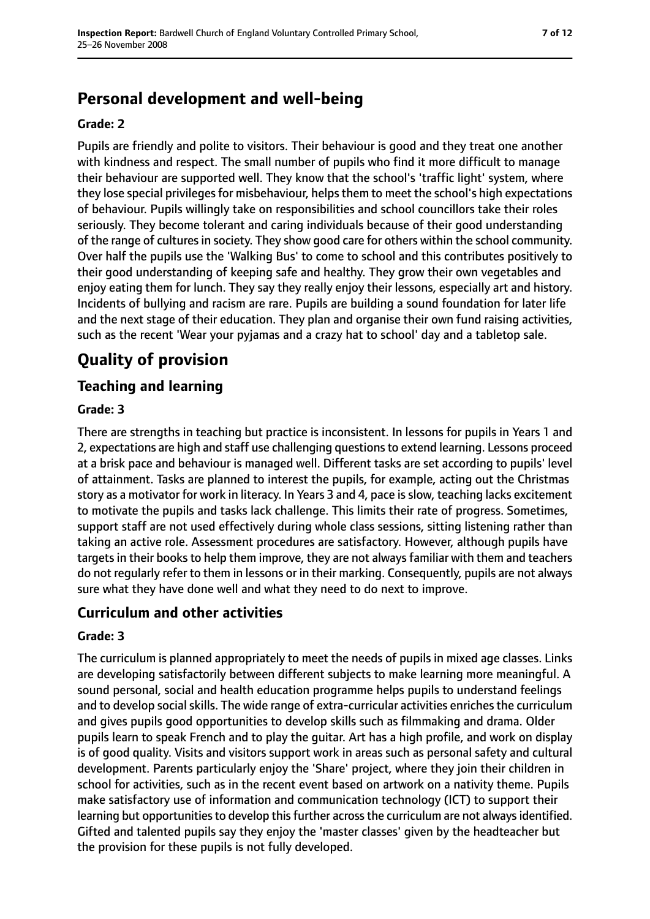## **Personal development and well-being**

#### **Grade: 2**

Pupils are friendly and polite to visitors. Their behaviour is good and they treat one another with kindness and respect. The small number of pupils who find it more difficult to manage their behaviour are supported well. They know that the school's 'traffic light' system, where they lose special privileges for misbehaviour, helps them to meet the school's high expectations of behaviour. Pupils willingly take on responsibilities and school councillors take their roles seriously. They become tolerant and caring individuals because of their good understanding of the range of cultures in society. They show good care for others within the school community. Over half the pupils use the 'Walking Bus' to come to school and this contributes positively to their good understanding of keeping safe and healthy. They grow their own vegetables and enjoy eating them for lunch. They say they really enjoy their lessons, especially art and history. Incidents of bullying and racism are rare. Pupils are building a sound foundation for later life and the next stage of their education. They plan and organise their own fund raising activities, such as the recent 'Wear your pyjamas and a crazy hat to school' day and a tabletop sale.

## **Quality of provision**

## **Teaching and learning**

### **Grade: 3**

There are strengths in teaching but practice is inconsistent. In lessons for pupils in Years 1 and 2, expectations are high and staff use challenging questions to extend learning. Lessons proceed at a brisk pace and behaviour is managed well. Different tasks are set according to pupils' level of attainment. Tasks are planned to interest the pupils, for example, acting out the Christmas story as a motivator for work in literacy. In Years 3 and 4, pace isslow, teaching lacks excitement to motivate the pupils and tasks lack challenge. This limits their rate of progress. Sometimes, support staff are not used effectively during whole class sessions, sitting listening rather than taking an active role. Assessment procedures are satisfactory. However, although pupils have targets in their books to help them improve, they are not always familiar with them and teachers do not regularly refer to them in lessons or in their marking. Consequently, pupils are not always sure what they have done well and what they need to do next to improve.

## **Curriculum and other activities**

#### **Grade: 3**

The curriculum is planned appropriately to meet the needs of pupils in mixed age classes. Links are developing satisfactorily between different subjects to make learning more meaningful. A sound personal, social and health education programme helps pupils to understand feelings and to develop social skills. The wide range of extra-curricular activities enriches the curriculum and gives pupils good opportunities to develop skills such as filmmaking and drama. Older pupils learn to speak French and to play the guitar. Art has a high profile, and work on display is of good quality. Visits and visitors support work in areas such as personal safety and cultural development. Parents particularly enjoy the 'Share' project, where they join their children in school for activities, such as in the recent event based on artwork on a nativity theme. Pupils make satisfactory use of information and communication technology (ICT) to support their learning but opportunities to develop this further across the curriculum are not always identified. Gifted and talented pupils say they enjoy the 'master classes' given by the headteacher but the provision for these pupils is not fully developed.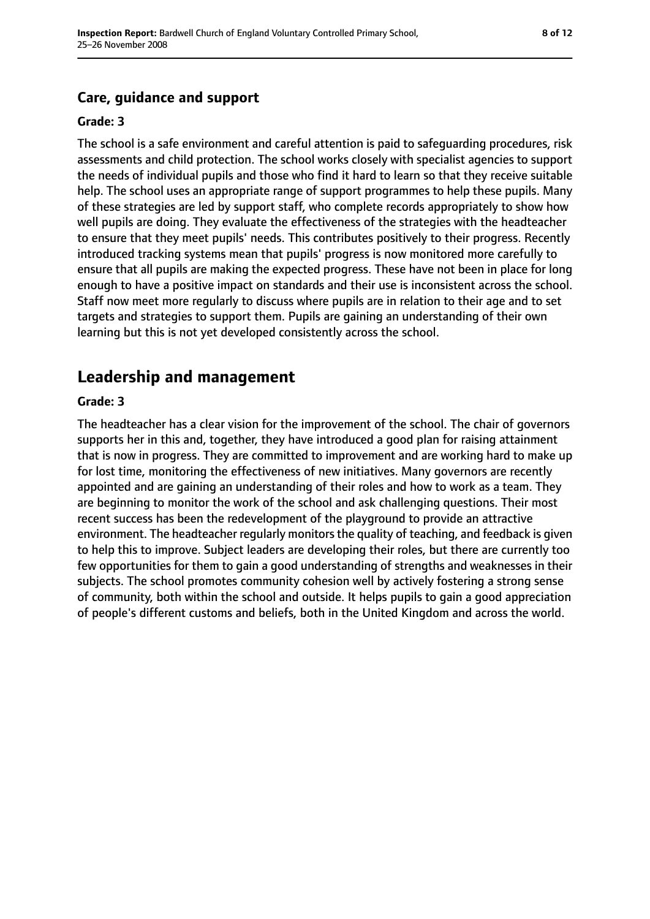## **Care, guidance and support**

#### **Grade: 3**

The school is a safe environment and careful attention is paid to safeguarding procedures, risk assessments and child protection. The school works closely with specialist agencies to support the needs of individual pupils and those who find it hard to learn so that they receive suitable help. The school uses an appropriate range of support programmes to help these pupils. Many of these strategies are led by support staff, who complete records appropriately to show how well pupils are doing. They evaluate the effectiveness of the strategies with the headteacher to ensure that they meet pupils' needs. This contributes positively to their progress. Recently introduced tracking systems mean that pupils' progress is now monitored more carefully to ensure that all pupils are making the expected progress. These have not been in place for long enough to have a positive impact on standards and their use is inconsistent across the school. Staff now meet more regularly to discuss where pupils are in relation to their age and to set targets and strategies to support them. Pupils are gaining an understanding of their own learning but this is not yet developed consistently across the school.

## **Leadership and management**

#### **Grade: 3**

The headteacher has a clear vision for the improvement of the school. The chair of governors supports her in this and, together, they have introduced a good plan for raising attainment that is now in progress. They are committed to improvement and are working hard to make up for lost time, monitoring the effectiveness of new initiatives. Many governors are recently appointed and are gaining an understanding of their roles and how to work as a team. They are beginning to monitor the work of the school and ask challenging questions. Their most recent success has been the redevelopment of the playground to provide an attractive environment. The headteacher regularly monitorsthe quality of teaching, and feedback is given to help this to improve. Subject leaders are developing their roles, but there are currently too few opportunities for them to gain a good understanding of strengths and weaknesses in their subjects. The school promotes community cohesion well by actively fostering a strong sense of community, both within the school and outside. It helps pupils to gain a good appreciation of people's different customs and beliefs, both in the United Kingdom and across the world.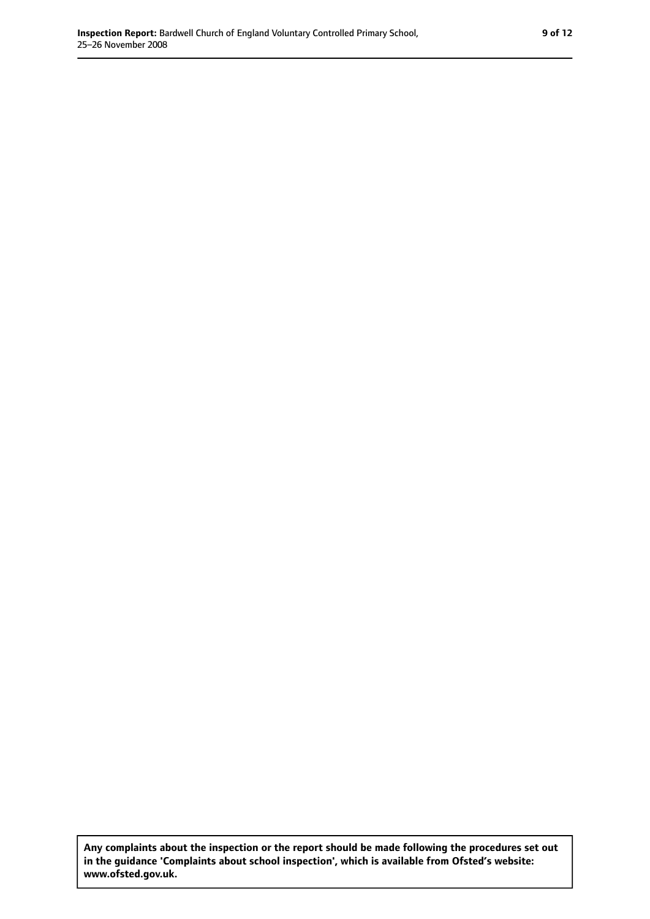**Any complaints about the inspection or the report should be made following the procedures set out in the guidance 'Complaints about school inspection', which is available from Ofsted's website: www.ofsted.gov.uk.**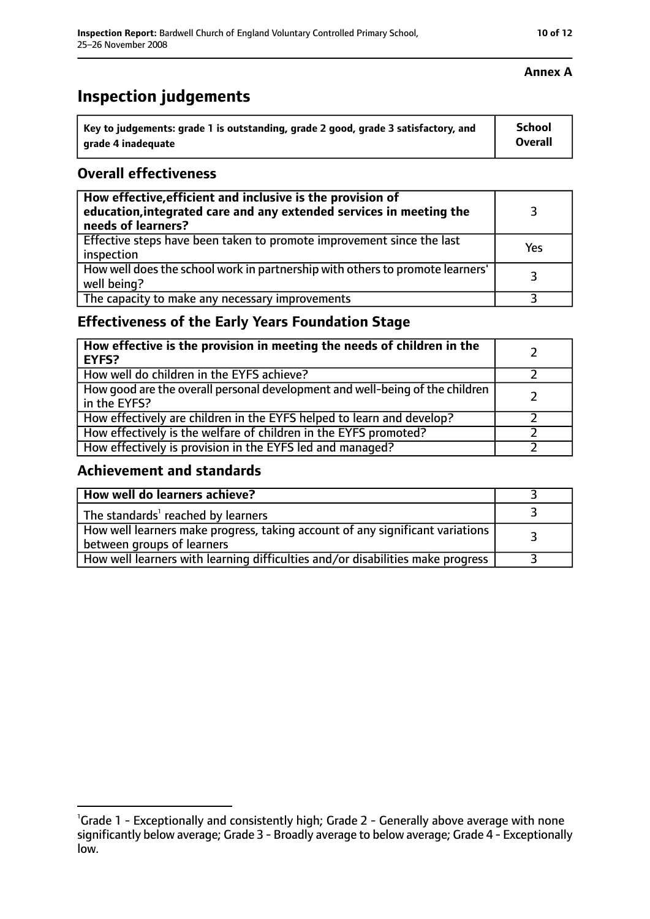| Key to judgements: grade 1 is outstanding, grade 2 good, grade 3 satisfactory, and | <b>School</b>  |
|------------------------------------------------------------------------------------|----------------|
| arade 4 inadequate                                                                 | <b>Overall</b> |

### **Overall effectiveness**

| How effective, efficient and inclusive is the provision of<br>education, integrated care and any extended services in meeting the<br>needs of learners? |     |
|---------------------------------------------------------------------------------------------------------------------------------------------------------|-----|
| Effective steps have been taken to promote improvement since the last<br>inspection                                                                     | Yes |
| How well does the school work in partnership with others to promote learners'<br>well being?                                                            | 3   |
| The capacity to make any necessary improvements                                                                                                         |     |

## **Effectiveness of the Early Years Foundation Stage**

| How effective is the provision in meeting the needs of children in the<br>EYFS?              |  |
|----------------------------------------------------------------------------------------------|--|
| How well do children in the EYFS achieve?                                                    |  |
| How good are the overall personal development and well-being of the children<br>in the EYFS? |  |
| How effectively are children in the EYFS helped to learn and develop?                        |  |
| How effectively is the welfare of children in the EYFS promoted?                             |  |
| How effectively is provision in the EYFS led and managed?                                    |  |

### **Achievement and standards**

| How well do learners achieve?                                                                               |  |
|-------------------------------------------------------------------------------------------------------------|--|
| The standards <sup>1</sup> reached by learners                                                              |  |
| How well learners make progress, taking account of any significant variations<br>between groups of learners |  |
| How well learners with learning difficulties and/or disabilities make progress                              |  |

#### **Annex A**

<sup>&</sup>lt;sup>1</sup>Grade 1 - Exceptionally and consistently high; Grade 2 - Generally above average with none

significantly below average; Grade 3 - Broadly average to below average; Grade 4 - Exceptionally low.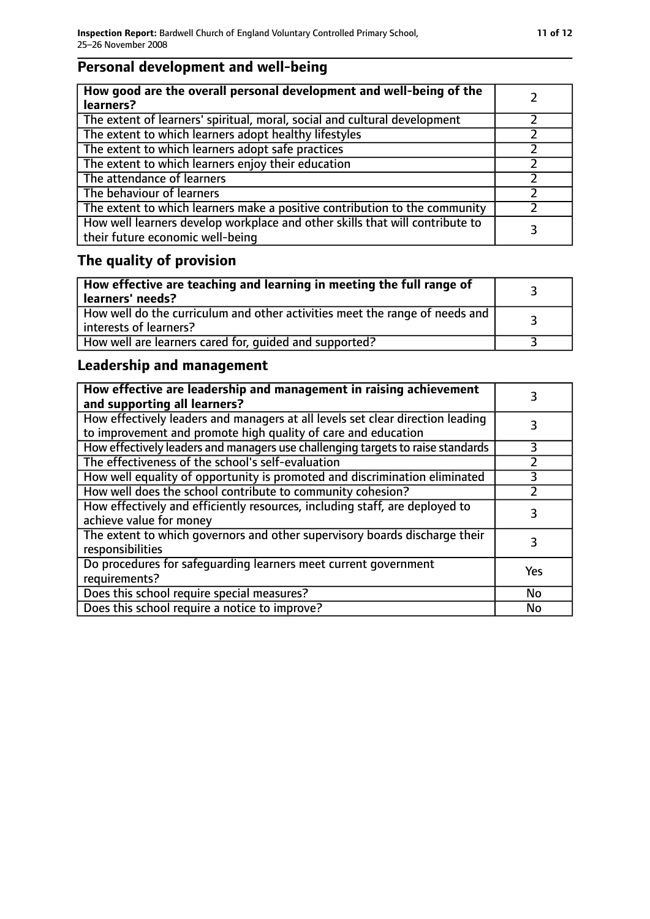## **Personal development and well-being**

| How good are the overall personal development and well-being of the<br>learners?                                 |  |
|------------------------------------------------------------------------------------------------------------------|--|
| The extent of learners' spiritual, moral, social and cultural development                                        |  |
| The extent to which learners adopt healthy lifestyles                                                            |  |
| The extent to which learners adopt safe practices                                                                |  |
| The extent to which learners enjoy their education                                                               |  |
| The attendance of learners                                                                                       |  |
| The behaviour of learners                                                                                        |  |
| The extent to which learners make a positive contribution to the community                                       |  |
| How well learners develop workplace and other skills that will contribute to<br>their future economic well-being |  |

## **The quality of provision**

| How effective are teaching and learning in meeting the full range of<br>learners' needs?              |  |
|-------------------------------------------------------------------------------------------------------|--|
| How well do the curriculum and other activities meet the range of needs and<br>interests of learners? |  |
| How well are learners cared for, quided and supported?                                                |  |

## **Leadership and management**

| How effective are leadership and management in raising achievement<br>and supporting all learners?                                              |           |
|-------------------------------------------------------------------------------------------------------------------------------------------------|-----------|
| How effectively leaders and managers at all levels set clear direction leading<br>to improvement and promote high quality of care and education |           |
| How effectively leaders and managers use challenging targets to raise standards                                                                 | 3         |
| The effectiveness of the school's self-evaluation                                                                                               |           |
| How well equality of opportunity is promoted and discrimination eliminated                                                                      | 3         |
| How well does the school contribute to community cohesion?                                                                                      | っ         |
| How effectively and efficiently resources, including staff, are deployed to<br>achieve value for money                                          | 3         |
| The extent to which governors and other supervisory boards discharge their<br>responsibilities                                                  |           |
| Do procedures for safequarding learners meet current government<br>requirements?                                                                | Yes       |
| Does this school require special measures?                                                                                                      | <b>No</b> |
| Does this school require a notice to improve?                                                                                                   | No        |